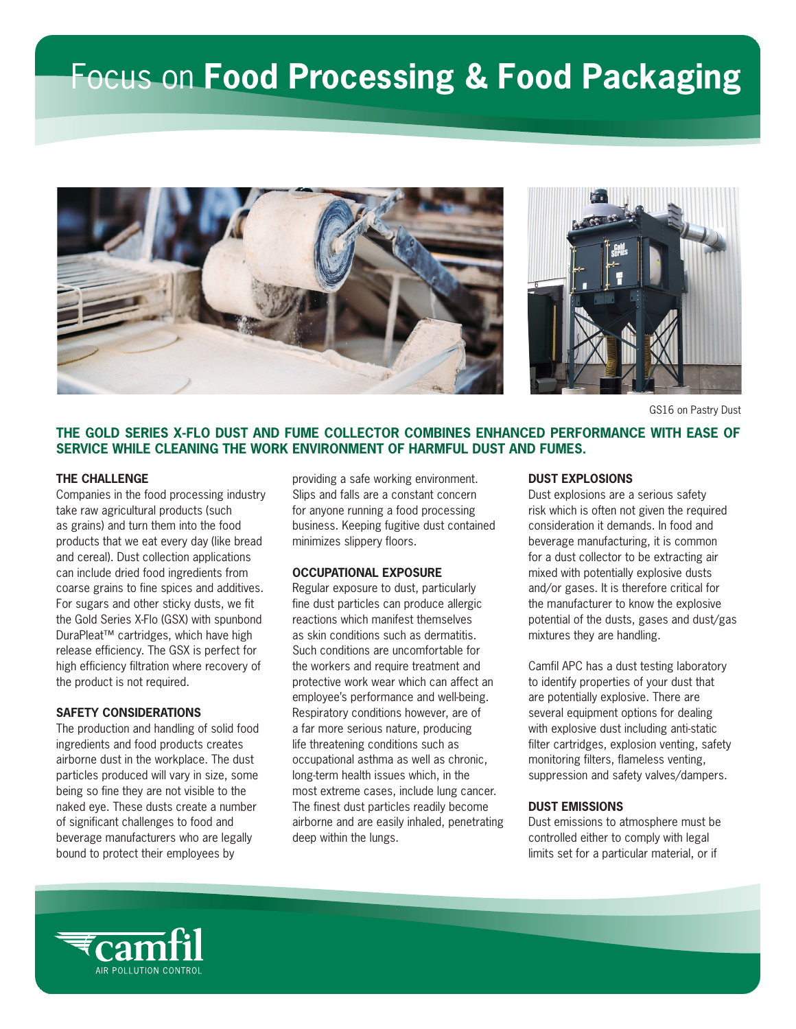# Focus on **Food Processing & Food Packaging**





GS16 on Pastry Dust

### **THE GOLD SERIES X-FLO DUST AND FUME COLLECTOR COMBINES ENHANCED PERFORMANCE WITH EASE OF SERVICE WHILE CLEANING THE WORK ENVIRONMENT OF HARMFUL DUST AND FUMES.**

### **THE CHALLENGE**

Companies in the food processing industry take raw agricultural products (such as grains) and turn them into the food products that we eat every day (like bread and cereal). Dust collection applications can include dried food ingredients from coarse grains to fine spices and additives. For sugars and other sticky dusts, we fit the Gold Series X-Flo (GSX) with spunbond DuraPleat™ cartridges, which have high release efficiency. The GSX is perfect for high efficiency filtration where recovery of the product is not required.

#### **SAFETY CONSIDERATIONS**

The production and handling of solid food ingredients and food products creates airborne dust in the workplace. The dust particles produced will vary in size, some being so fine they are not visible to the naked eye. These dusts create a number of significant challenges to food and beverage manufacturers who are legally bound to protect their employees by

providing a safe working environment. Slips and falls are a constant concern for anyone running a food processing business. Keeping fugitive dust contained minimizes slippery floors.

#### **OCCUPATIONAL EXPOSURE**

Regular exposure to dust, particularly fine dust particles can produce allergic reactions which manifest themselves as skin conditions such as dermatitis. Such conditions are uncomfortable for the workers and require treatment and protective work wear which can affect an employee's performance and well-being. Respiratory conditions however, are of a far more serious nature, producing life threatening conditions such as occupational asthma as well as chronic, long-term health issues which, in the most extreme cases, include lung cancer. The finest dust particles readily become airborne and are easily inhaled, penetrating deep within the lungs.

#### **DUST EXPLOSIONS**

Dust explosions are a serious safety risk which is often not given the required consideration it demands. In food and beverage manufacturing, it is common for a dust collector to be extracting air mixed with potentially explosive dusts and/or gases. It is therefore critical for the manufacturer to know the explosive potential of the dusts, gases and dust/gas mixtures they are handling.

Camfil APC has a dust testing laboratory to identify properties of your dust that are potentially explosive. There are several equipment options for dealing with explosive dust including anti-static filter cartridges, explosion venting, safety monitoring filters, flameless venting, suppression and safety valves/dampers.

#### **DUST EMISSIONS**

Dust emissions to atmosphere must be controlled either to comply with legal limits set for a particular material, or if